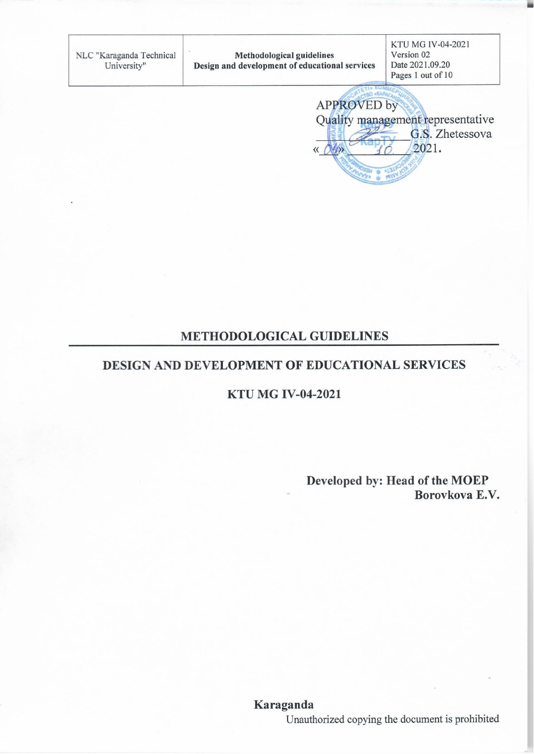| NLC "Karaganda Technical<br>University" | <b>Methodological guidelines</b><br>Design and development of educational services | KTU MG IV-04-2021<br>Version 02<br>Date 2021.09.20<br>Pages 1 out of 10 |
|-----------------------------------------|------------------------------------------------------------------------------------|-------------------------------------------------------------------------|
|                                         | <b>APPROVED</b> by                                                                 | Quality management representative<br>G.S. Zhetessova<br>2021.           |

## **METHODOLOGICAL GUIDELINES**

## DESIGN AND DEVELOPMENT OF EDUCATIONAL SERVICES

#### **KTU MG IV-04-2021**

Developed by: Head of the MOEP Borovkova E.V.

٦

Unauthorized copying the document is prohibited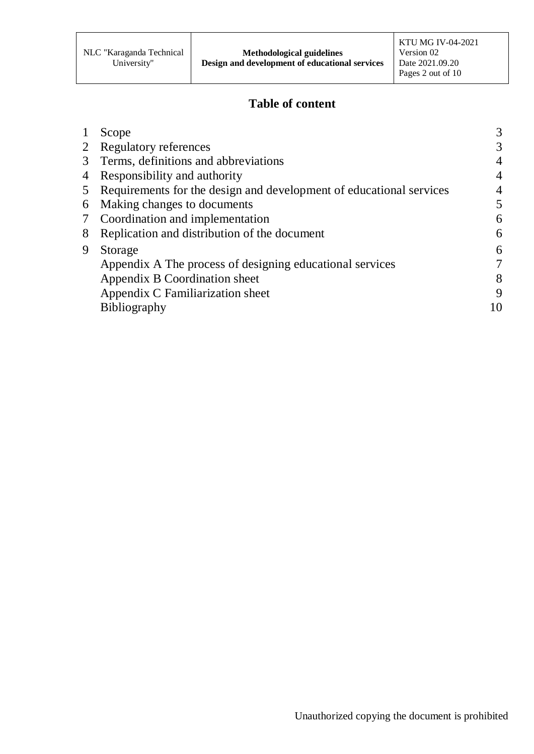# **Table of content**

|   | Scope                                                               | 3  |
|---|---------------------------------------------------------------------|----|
|   | <b>Regulatory references</b>                                        | 3  |
|   | Terms, definitions and abbreviations                                | 4  |
|   | Responsibility and authority                                        |    |
|   | Requirements for the design and development of educational services | 4  |
| 6 | Making changes to documents                                         | 5  |
|   | Coordination and implementation                                     | 6  |
| 8 | Replication and distribution of the document                        | 6  |
| 9 | Storage                                                             | 6  |
|   | Appendix A The process of designing educational services            |    |
|   | Appendix B Coordination sheet                                       | 8  |
|   | Appendix C Familiarization sheet                                    | 9  |
|   | <b>Bibliography</b>                                                 | 10 |
|   |                                                                     |    |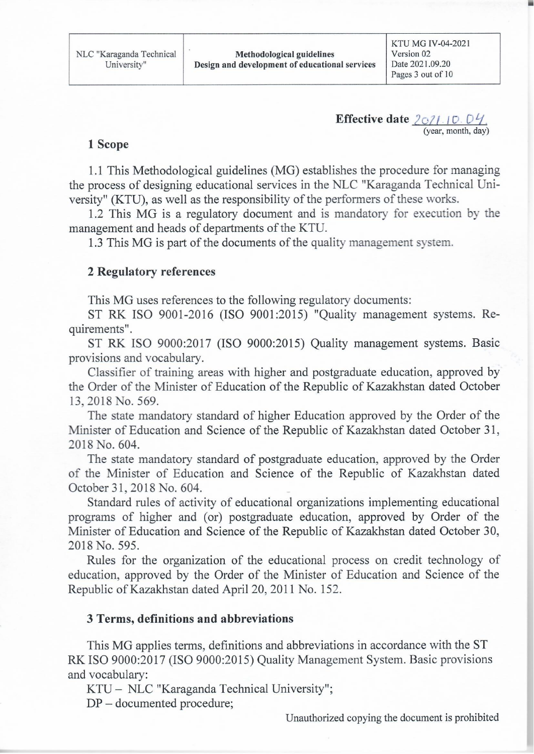**Effective date**  $2021.10.04$ . (year, month, day)

#### 1 Scope

1.1 This Methodological guidelines (MG) establishes the procedure for managing the process of designing educational services in the NLC "Karaganda Technical University" (KTU), as well as the responsibility of the performers of these works.

1.2 This MG is a regulatory document and is mandatory for execution by the management and heads of departments of the KTU.

1.3 This MG is part of the documents of the quality management system.

#### **2 Regulatory references**

This MG uses references to the following regulatory documents:

ST RK ISO 9001-2016 (ISO 9001:2015) "Quality management systems. Requirements".

ST RK ISO 9000:2017 (ISO 9000:2015) Quality management systems. Basic provisions and vocabulary.

Classifier of training areas with higher and postgraduate education, approved by the Order of the Minister of Education of the Republic of Kazakhstan dated October 13, 2018 No. 569.

The state mandatory standard of higher Education approved by the Order of the Minister of Education and Science of the Republic of Kazakhstan dated October 31, 2018 No. 604.

The state mandatory standard of postgraduate education, approved by the Order of the Minister of Education and Science of the Republic of Kazakhstan dated October 31, 2018 No. 604.

Standard rules of activity of educational organizations implementing educational programs of higher and (or) postgraduate education, approved by Order of the Minister of Education and Science of the Republic of Kazakhstan dated October 30, 2018 No. 595.

Rules for the organization of the educational process on credit technology of education, approved by the Order of the Minister of Education and Science of the Republic of Kazakhstan dated April 20, 2011 No. 152.

#### 3 Terms, definitions and abbreviations

This MG applies terms, definitions and abbreviations in accordance with the ST RK ISO 9000:2017 (ISO 9000:2015) Quality Management System. Basic provisions and vocabulary:

KTU - NLC "Karaganda Technical University";

 $DP$  – documented procedure;

Unauthorized copying the document is prohibited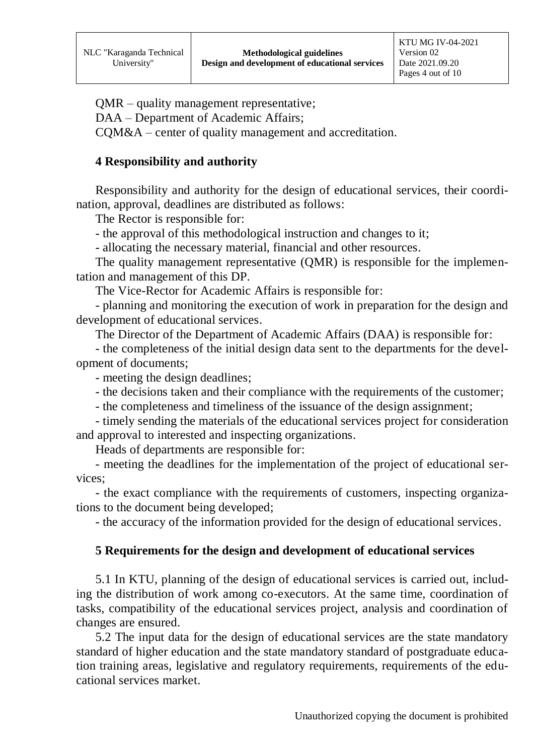QMR – quality management representative;

DAA – Department of Academic Affairs;

CQM&A – center of quality management and accreditation.

#### **4 Responsibility and authority**

Responsibility and authority for the design of educational services, their coordination, approval, deadlines are distributed as follows:

The Rector is responsible for:

- the approval of this methodological instruction and changes to it;

- allocating the necessary material, financial and other resources.

The quality management representative (QMR) is responsible for the implementation and management of this DP.

The Vice-Rector for Academic Affairs is responsible for:

- planning and monitoring the execution of work in preparation for the design and development of educational services.

The Director of the Department of Academic Affairs (DAA) is responsible for:

- the completeness of the initial design data sent to the departments for the development of documents;

- meeting the design deadlines;

- the decisions taken and their compliance with the requirements of the customer;

- the completeness and timeliness of the issuance of the design assignment;

- timely sending the materials of the educational services project for consideration and approval to interested and inspecting organizations.

Heads of departments are responsible for:

- meeting the deadlines for the implementation of the project of educational services;

- the exact compliance with the requirements of customers, inspecting organizations to the document being developed;

- the accuracy of the information provided for the design of educational services.

#### **5 Requirements for the design and development of educational services**

5.1 In KTU, planning of the design of educational services is carried out, including the distribution of work among co-executors. At the same time, coordination of tasks, compatibility of the educational services project, analysis and coordination of changes are ensured.

5.2 The input data for the design of educational services are the state mandatory standard of higher education and the state mandatory standard of postgraduate education training areas, legislative and regulatory requirements, requirements of the educational services market.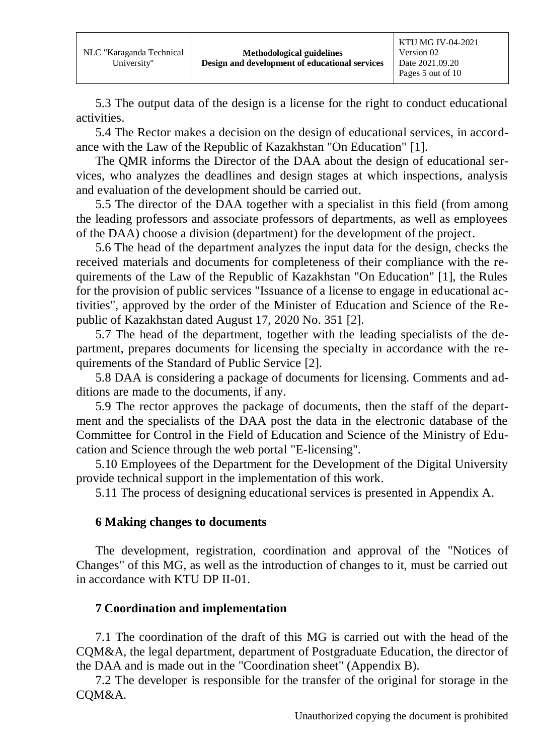5.3 The output data of the design is a license for the right to conduct educational activities.

5.4 The Rector makes a decision on the design of educational services, in accordance with the Law of the Republic of Kazakhstan "On Education" [1].

The QMR informs the Director of the DAA about the design of educational services, who analyzes the deadlines and design stages at which inspections, analysis and evaluation of the development should be carried out.

5.5 The director of the DAA together with a specialist in this field (from among the leading professors and associate professors of departments, as well as employees of the DAA) choose a division (department) for the development of the project.

5.6 The head of the department analyzes the input data for the design, checks the received materials and documents for completeness of their compliance with the requirements of the Law of the Republic of Kazakhstan "On Education" [1], the Rules for the provision of public services "Issuance of a license to engage in educational activities", approved by the order of the Minister of Education and Science of the Republic of Kazakhstan dated August 17, 2020 No. 351 [2].

5.7 The head of the department, together with the leading specialists of the department, prepares documents for licensing the specialty in accordance with the requirements of the Standard of Public Service [2].

5.8 DAA is considering a package of documents for licensing. Comments and additions are made to the documents, if any.

5.9 The rector approves the package of documents, then the staff of the department and the specialists of the DAA post the data in the electronic database of the Committee for Control in the Field of Education and Science of the Ministry of Education and Science through the web portal "E-licensing".

5.10 Employees of the Department for the Development of the Digital University provide technical support in the implementation of this work.

5.11 The process of designing educational services is presented in Appendix A.

## **6 Making changes to documents**

The development, registration, coordination and approval of the "Notices of Changes" of this MG, as well as the introduction of changes to it, must be carried out in accordance with KTU DP II-01.

## **7 Coordination and implementation**

7.1 The coordination of the draft of this MG is carried out with the head of the CQM&A, the legal department, department of Postgraduate Education, the director of the DAA and is made out in the "Coordination sheet" (Appendix B).

7.2 The developer is responsible for the transfer of the original for storage in the CQM&A.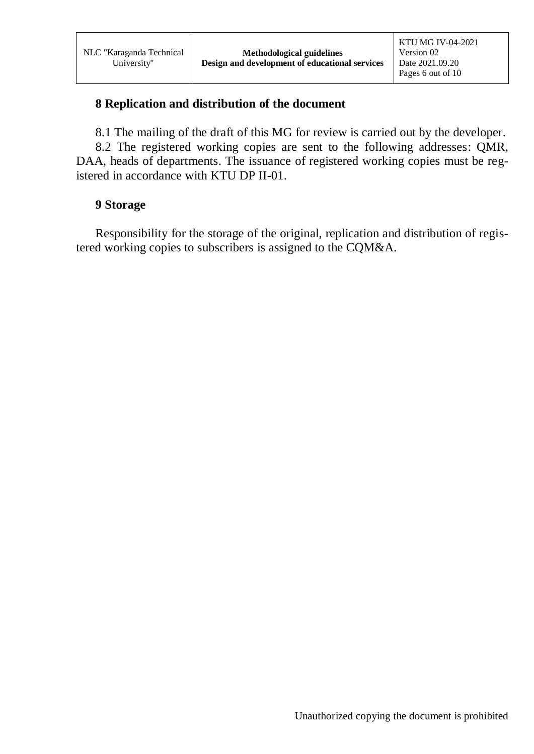#### **8 Replication and distribution of the document**

8.1 The mailing of the draft of this MG for review is carried out by the developer.

8.2 The registered working copies are sent to the following addresses: QMR, DAA, heads of departments. The issuance of registered working copies must be registered in accordance with KTU DP II-01.

#### **9 Storage**

Responsibility for the storage of the original, replication and distribution of registered working copies to subscribers is assigned to the CQM&A.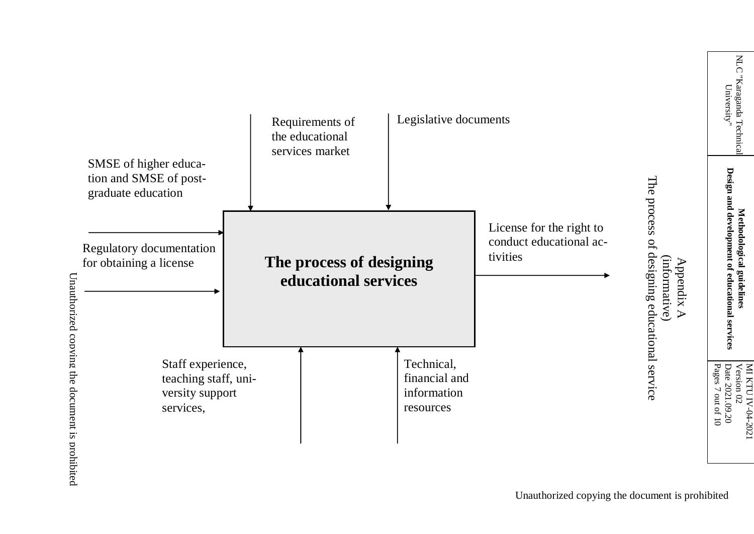

NLC "Karaganda Technica<br>University" LC "Karaganda Technical University"

Design and development of educational services **Design and development of educational services** Methodological guidelines **Methodological guidelines**

MI KTU IV-0 4-2021 Version  $\mathbb S$ Date 2021.09.20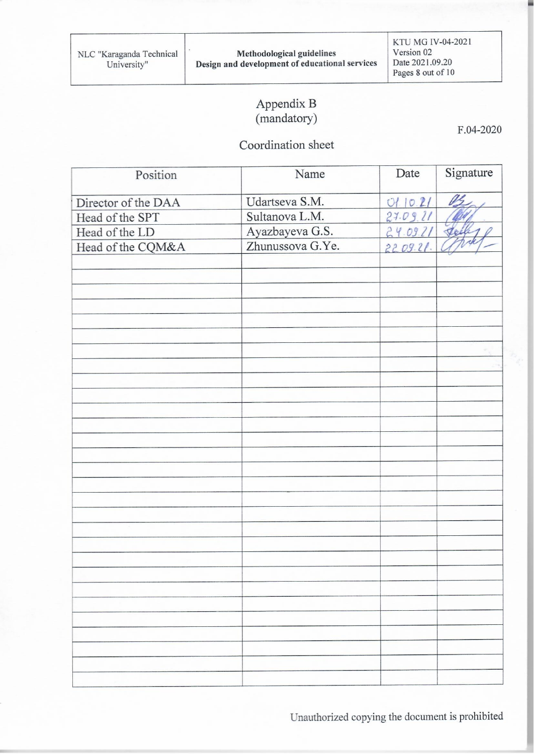KTU MG IV-04-2021 Version 02 Date 2021.09.20 Pages 8 out of 10

# Appendix B<br>(mandatory)

Coordination sheet

| Position            | Name             | Date     | Signature |
|---------------------|------------------|----------|-----------|
| Director of the DAA | Udartseva S.M.   | 0110.21  | US        |
| Head of the SPT     | Sultanova L.M.   | 27.09.21 |           |
| Head of the LD      | Ayazbayeva G.S.  | 24.09.21 | tte       |
| Head of the CQM&A   | Zhunussova G.Ye. | 2209.21. |           |
|                     |                  |          |           |
|                     |                  |          |           |
|                     |                  |          |           |
|                     |                  |          |           |
|                     |                  |          |           |
|                     |                  |          |           |
|                     |                  |          |           |
|                     |                  |          |           |
|                     |                  |          |           |
|                     |                  |          |           |
|                     |                  |          |           |
|                     |                  |          |           |
|                     |                  |          |           |
|                     |                  |          |           |
|                     |                  |          |           |
|                     |                  |          |           |
|                     |                  |          |           |
|                     |                  |          |           |
|                     |                  |          |           |
|                     |                  |          |           |
|                     |                  |          |           |
|                     |                  |          |           |
|                     |                  |          |           |
|                     |                  |          |           |
|                     |                  |          |           |
|                     |                  |          |           |
|                     |                  |          |           |
|                     |                  |          |           |
|                     |                  |          |           |

Unauthorized copying the document is prohibited

F.04-2020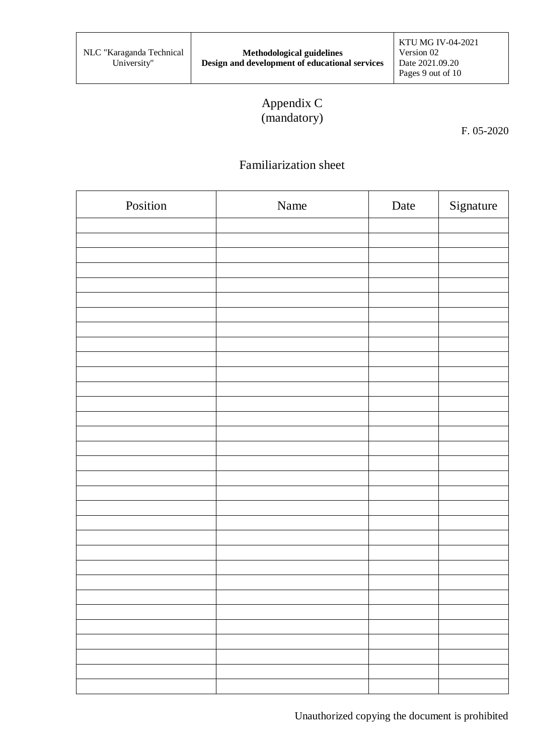# Appendix C (mandatory)

F. 05-2020

# Familiarization sheet

| Position | Name | Date | Signature |
|----------|------|------|-----------|
|          |      |      |           |
|          |      |      |           |
|          |      |      |           |
|          |      |      |           |
|          |      |      |           |
|          |      |      |           |
|          |      |      |           |
|          |      |      |           |
|          |      |      |           |
|          |      |      |           |
|          |      |      |           |
|          |      |      |           |
|          |      |      |           |
|          |      |      |           |
|          |      |      |           |
|          |      |      |           |
|          |      |      |           |
|          |      |      |           |
|          |      |      |           |
|          |      |      |           |
|          |      |      |           |
|          |      |      |           |
|          |      |      |           |
|          |      |      |           |
|          |      |      |           |
|          |      |      |           |
|          |      |      |           |
|          |      |      |           |
|          |      |      |           |
|          |      |      |           |
|          |      |      |           |
|          |      |      |           |